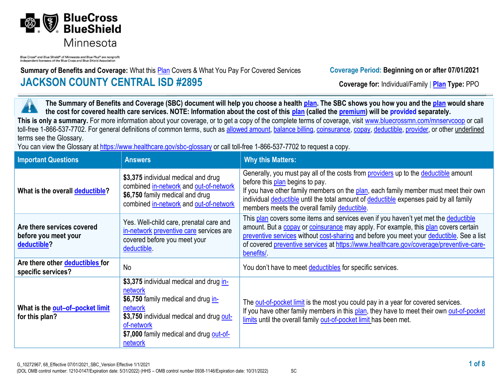

Blue Cross® and Blue Shield® of Minnesota and Blue Plus® are nonprofi independent licensees of the Blue Cross and Blue Shield Association

**Summary of Benefits and Coverage:** What this **Plan** Covers & What You Pay For Covered Services **Coverage Period: Beginning on or after 07/01/2021 JACKSON COUNTY CENTRAL ISD #2895 Coverage for:** Individual/Family | **Plan Type:** PPO

**The Summary of Benefits and Coverage (SBC) document will help you choose a health [plan.](https://www.healthcare.gov/sbc-glossary/#plan) The SBC shows you how you and the [plan](https://www.healthcare.gov/sbc-glossary/#plan) would share**  ٦ **the cost for covered health care services. NOTE: Information about the cost of this [plan](https://www.healthcare.gov/sbc-glossary/#plan) (called the [premium\)](https://www.healthcare.gov/sbc-glossary/#premium) will be provided separately.** This is only a summary. For more information about your coverage, or to get a copy of the complete terms of coverage, visit www.bluecrossmn.com/mnservcoop or call toll-free 1-866-537-7702. For general definitions of common terms, such as [allowed amount,](https://www.healthcare.gov/sbc-glossary/#allowed-amount) [balance billing,](https://www.healthcare.gov/sbc-glossary/#balance-billing) [coinsurance,](https://www.healthcare.gov/sbc-glossary/#coinsurance) [copay,](https://www.healthcare.gov/sbc-glossary/#copayment) [deductible,](https://www.healthcare.gov/sbc-glossary/#deductible) [provider,](https://www.healthcare.gov/sbc-glossary/#provider) or other underlined terms see the Glossary.

You can view the Glossary at<https://www.healthcare.gov/sbc-glossary> or call toll-free 1-866-537-7702 to request a copy.

| <b>Important Questions</b>                                        | <b>Answers</b>                                                                                                                                                                                                       | <b>Why this Matters:</b>                                                                                                                                                                                                                                                                                                                                                       |
|-------------------------------------------------------------------|----------------------------------------------------------------------------------------------------------------------------------------------------------------------------------------------------------------------|--------------------------------------------------------------------------------------------------------------------------------------------------------------------------------------------------------------------------------------------------------------------------------------------------------------------------------------------------------------------------------|
| What is the overall deductible?                                   | \$3,375 individual medical and drug<br>combined in-network and out-of-network<br>\$6,750 family medical and drug<br>combined in-network and out-of-network                                                           | Generally, you must pay all of the costs from <b>providers</b> up to the deductible amount<br>before this plan begins to pay.<br>If you have other family members on the plan, each family member must meet their own<br>individual deductible until the total amount of deductible expenses paid by all family<br>members meets the overall family deductible.                |
| Are there services covered<br>before you meet your<br>deductible? | Yes. Well-child care, prenatal care and<br>in-network preventive care services are<br>covered before you meet your<br>deductible.                                                                                    | This plan covers some items and services even if you haven't yet met the deductible<br>amount. But a copay or coinsurance may apply. For example, this plan covers certain<br>preventive services without cost-sharing and before you meet your deductible. See a list<br>of covered preventive services at https://www.healthcare.gov/coverage/preventive-care-<br>benefits/. |
| Are there other deductibles for<br>specific services?             | <b>No</b>                                                                                                                                                                                                            | You don't have to meet deductibles for specific services.                                                                                                                                                                                                                                                                                                                      |
| What is the out-of-pocket limit<br>for this plan?                 | \$3,375 individual medical and drug in-<br>network<br>\$6,750 family medical and drug in-<br>network<br>\$3,750 individual medical and drug out-<br>of-network<br>\$7,000 family medical and drug out-of-<br>network | The out-of-pocket limit is the most you could pay in a year for covered services.<br>If you have other family members in this plan, they have to meet their own out-of-pocket<br>limits until the overall family out-of-pocket limit has been met.                                                                                                                             |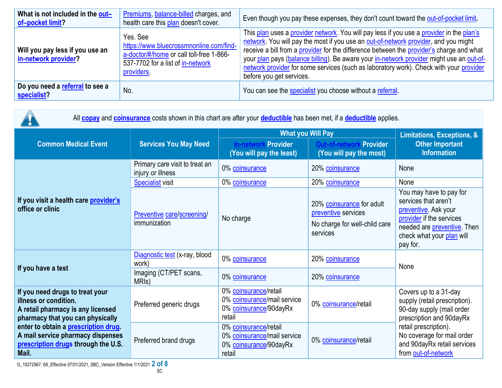| What is not included in the out-<br>of-pocket limit?    | Premiums, balance-billed charges, and<br>health care this plan doesn't cover.                                                                      | Even though you pay these expenses, they don't count toward the out-of-pocket limit.                                                                                                                                                                                                                                                                                                                                                                                                          |
|---------------------------------------------------------|----------------------------------------------------------------------------------------------------------------------------------------------------|-----------------------------------------------------------------------------------------------------------------------------------------------------------------------------------------------------------------------------------------------------------------------------------------------------------------------------------------------------------------------------------------------------------------------------------------------------------------------------------------------|
| Will you pay less if you use an<br>in-network provider? | Yes, See<br>https://www.bluecrossmnonline.com/find-<br>a-doctor/#/home or call toll-free 1-866-<br>537-7702 for a list of in-network<br>providers. | This plan uses a provider network. You will pay less if you use a provider in the plan's<br>network. You will pay the most if you use an out-of-network provider, and you might<br>receive a bill from a provider for the difference between the provider's charge and what<br>your plan pays (balance billing). Be aware your in-network provider might use an out-of-<br>network provider for some services (such as laboratory work). Check with your provider<br>before you get services. |
| Do you need a referral to see a<br>specialist?          | No.                                                                                                                                                | You can see the specialist you choose without a referral.                                                                                                                                                                                                                                                                                                                                                                                                                                     |

| All <b>copay</b> and <b>coinsurance</b> costs shown in this chart are after your <b>deductible</b> has been met, if a <b>deductible</b> applies.                                                                                                               |                                                     |                                                                                          |                                                                                               |                                                                                                                                                                                                                              |  |
|----------------------------------------------------------------------------------------------------------------------------------------------------------------------------------------------------------------------------------------------------------------|-----------------------------------------------------|------------------------------------------------------------------------------------------|-----------------------------------------------------------------------------------------------|------------------------------------------------------------------------------------------------------------------------------------------------------------------------------------------------------------------------------|--|
|                                                                                                                                                                                                                                                                | <b>Services You May Need</b>                        | <b>What you Will Pay</b>                                                                 | <b>Limitations, Exceptions, &amp;</b>                                                         |                                                                                                                                                                                                                              |  |
| <b>Common Medical Event</b>                                                                                                                                                                                                                                    |                                                     | Provider<br>In-networ<br>(You will pay the least)                                        | <b>Provider</b><br>(You will pay the most)                                                    | <b>Other Important</b><br><b>Information</b>                                                                                                                                                                                 |  |
| If you visit a health care provider's<br>office or clinic                                                                                                                                                                                                      | Primary care visit to treat an<br>injury or illness | 0% coinsurance                                                                           | 20% coinsurance                                                                               | None                                                                                                                                                                                                                         |  |
|                                                                                                                                                                                                                                                                | <b>Specialist visit</b>                             | 0% coinsurance                                                                           | 20% coinsurance                                                                               | None                                                                                                                                                                                                                         |  |
|                                                                                                                                                                                                                                                                | Preventive care/screening/<br>immunization          | No charge                                                                                | 20% coinsurance for adult<br>preventive services<br>No charge for well-child care<br>services | You may have to pay for<br>services that aren't<br>preventive. Ask your<br>provider if the services<br>needed are preventive. Then<br>check what your plan will<br>pay for.                                                  |  |
| If you have a test                                                                                                                                                                                                                                             | Diagnostic test (x-ray, blood<br>work)              | 0% coinsurance                                                                           | 20% coinsurance                                                                               | None                                                                                                                                                                                                                         |  |
|                                                                                                                                                                                                                                                                | Imaging (CT/PET scans,<br>MRI <sub>s</sub> )        | 0% coinsurance                                                                           | 20% coinsurance                                                                               |                                                                                                                                                                                                                              |  |
| If you need drugs to treat your<br>illness or condition.<br>A retail pharmacy is any licensed<br>pharmacy that you can physically<br>enter to obtain a prescription drug.<br>A mail service pharmacy dispenses<br>prescription drugs through the U.S.<br>Mail. | Preferred generic drugs                             | 0% coinsurance/retail<br>0% coinsurance/mail service<br>0% coinsurance/90dayRx<br>retail | 0% coinsurance/retail                                                                         | Covers up to a 31-day<br>supply (retail prescription).<br>90-day supply (mail order<br>prescription and 90dayRx<br>retail prescription).<br>No coverage for mail order<br>and 90dayRx retail services<br>from out-of-network |  |
|                                                                                                                                                                                                                                                                | Preferred brand drugs                               | 0% coinsurance/retail<br>0% coinsurance/mail service<br>0% coinsurance/90dayRx<br>retail | 0% coinsurance/retail                                                                         |                                                                                                                                                                                                                              |  |

G\_10272967, 68\_Effective 07/01/2021\_SBC\_Version Effective 1/1/2021 **2 of 8**

 $\sqrt{ }$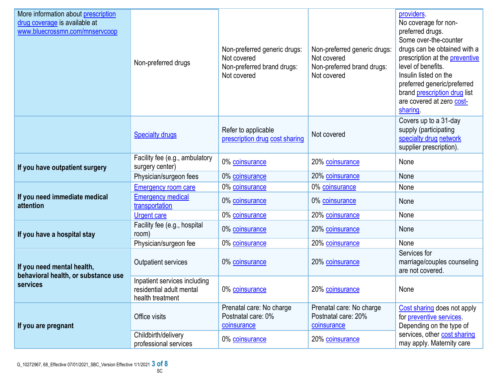| More information about prescription<br>drug coverage is available at<br>www.bluecrossmn.com/mnservcoop                                                      | Non-preferred drugs                                                                                                                                                                                                                                                                                                                        | Non-preferred generic drugs:<br>Not covered<br>Non-preferred brand drugs:<br>Not covered | Non-preferred generic drugs:<br>Not covered<br>Non-preferred brand drugs:<br>Not covered                                                                                                              | providers.<br>No coverage for non-<br>preferred drugs.<br>Some over-the-counter<br>drugs can be obtained with a<br>prescription at the preventive<br>level of benefits.<br>Insulin listed on the<br>preferred generic/preferred<br>brand prescription drug list<br>are covered at zero cost-<br>sharing |
|-------------------------------------------------------------------------------------------------------------------------------------------------------------|--------------------------------------------------------------------------------------------------------------------------------------------------------------------------------------------------------------------------------------------------------------------------------------------------------------------------------------------|------------------------------------------------------------------------------------------|-------------------------------------------------------------------------------------------------------------------------------------------------------------------------------------------------------|---------------------------------------------------------------------------------------------------------------------------------------------------------------------------------------------------------------------------------------------------------------------------------------------------------|
|                                                                                                                                                             | <b>Specialty drugs</b>                                                                                                                                                                                                                                                                                                                     | Refer to applicable<br>prescription drug cost sharing                                    | Not covered                                                                                                                                                                                           | Covers up to a 31-day<br>supply (participating<br>specialty drug network<br>supplier prescription).                                                                                                                                                                                                     |
| If you have outpatient surgery                                                                                                                              | Facility fee (e.g., ambulatory<br>surgery center)                                                                                                                                                                                                                                                                                          | 0% coinsurance                                                                           | 20% coinsurance                                                                                                                                                                                       | None                                                                                                                                                                                                                                                                                                    |
|                                                                                                                                                             | 20% coinsurance<br>Physician/surgeon fees<br>0% coinsurance<br>None<br>0% coinsurance<br>0% coinsurance<br><b>Emergency room care</b><br>None<br><b>Emergency medical</b><br>0% coinsurance<br>0% coinsurance<br>None<br>transportation<br>0% coinsurance<br>20% coinsurance<br>None<br><b>Urgent care</b><br>Facility fee (e.g., hospital |                                                                                          |                                                                                                                                                                                                       |                                                                                                                                                                                                                                                                                                         |
|                                                                                                                                                             |                                                                                                                                                                                                                                                                                                                                            |                                                                                          |                                                                                                                                                                                                       |                                                                                                                                                                                                                                                                                                         |
| If you need immediate medical<br>attention                                                                                                                  |                                                                                                                                                                                                                                                                                                                                            |                                                                                          |                                                                                                                                                                                                       |                                                                                                                                                                                                                                                                                                         |
|                                                                                                                                                             |                                                                                                                                                                                                                                                                                                                                            |                                                                                          | 20% coinsurance<br>None<br>20% coinsurance<br>None<br>Services for<br>20% coinsurance<br>20% coinsurance<br>None<br>Prenatal care: No charge<br>Postnatal care: 20%<br>coinsurance<br>20% coinsurance |                                                                                                                                                                                                                                                                                                         |
| If you have a hospital stay                                                                                                                                 | room)                                                                                                                                                                                                                                                                                                                                      | 0% coinsurance                                                                           |                                                                                                                                                                                                       |                                                                                                                                                                                                                                                                                                         |
|                                                                                                                                                             | Physician/surgeon fee                                                                                                                                                                                                                                                                                                                      | 0% coinsurance                                                                           |                                                                                                                                                                                                       |                                                                                                                                                                                                                                                                                                         |
| <b>Outpatient services</b><br>If you need mental health,<br>behavioral health, or substance use<br>services<br>residential adult mental<br>health treatment |                                                                                                                                                                                                                                                                                                                                            | 0% coinsurance                                                                           |                                                                                                                                                                                                       | marriage/couples counseling<br>are not covered.                                                                                                                                                                                                                                                         |
|                                                                                                                                                             | Inpatient services including                                                                                                                                                                                                                                                                                                               | 0% coinsurance                                                                           |                                                                                                                                                                                                       |                                                                                                                                                                                                                                                                                                         |
| If you are pregnant                                                                                                                                         | Office visits                                                                                                                                                                                                                                                                                                                              | Prenatal care: No charge<br>Postnatal care: 0%<br>coinsurance                            |                                                                                                                                                                                                       | Cost sharing does not apply<br>for <i>preventive</i> services<br>Depending on the type of                                                                                                                                                                                                               |
|                                                                                                                                                             | Childbirth/delivery<br>professional services                                                                                                                                                                                                                                                                                               | 0% coinsurance                                                                           |                                                                                                                                                                                                       | services, other cost sharing<br>may apply. Maternity care                                                                                                                                                                                                                                               |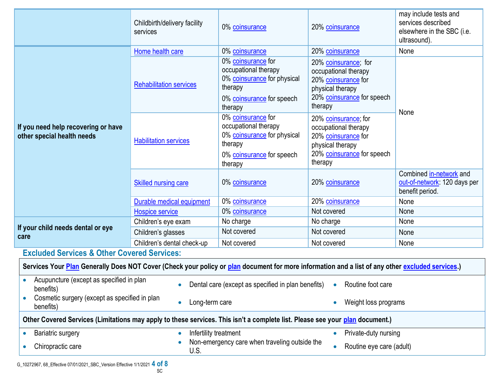|                                                                                                                                                  | Childbirth/delivery facility<br>services | 0% coinsurance                                                                                                               | 20% coinsurance                                                                                                                  | may include tests and<br>services described<br>elsewhere in the SBC (i.e.<br>ultrasound). |  |
|--------------------------------------------------------------------------------------------------------------------------------------------------|------------------------------------------|------------------------------------------------------------------------------------------------------------------------------|----------------------------------------------------------------------------------------------------------------------------------|-------------------------------------------------------------------------------------------|--|
| If you need help recovering or have<br>other special health needs                                                                                | Home health care                         | 0% coinsurance                                                                                                               | 20% coinsurance                                                                                                                  | None                                                                                      |  |
|                                                                                                                                                  | <b>Rehabilitation services</b>           | 0% coinsurance for<br>occupational therapy<br>0% coinsurance for physical<br>therapy<br>0% coinsurance for speech<br>therapy | 20% coinsurance; for<br>occupational therapy<br>20% coinsurance for<br>physical therapy<br>20% coinsurance for speech<br>therapy | None                                                                                      |  |
|                                                                                                                                                  | <b>Habilitation services</b>             | 0% coinsurance for<br>occupational therapy<br>0% coinsurance for physical<br>therapy<br>0% coinsurance for speech<br>therapy | 20% coinsurance; for<br>occupational therapy<br>20% coinsurance for<br>physical therapy<br>20% coinsurance for speech<br>therapy |                                                                                           |  |
|                                                                                                                                                  | Skilled nursing care                     | 0% coinsurance                                                                                                               | 20% coinsurance                                                                                                                  | Combined in-network and<br>out-of-network: 120 days per<br>benefit period.                |  |
|                                                                                                                                                  | Durable medical equipment                | 0% coinsurance                                                                                                               | 20% coinsurance                                                                                                                  | None                                                                                      |  |
|                                                                                                                                                  | <b>Hospice service</b>                   | 0% coinsurance                                                                                                               | Not covered                                                                                                                      | None                                                                                      |  |
|                                                                                                                                                  | Children's eye exam                      | No charge                                                                                                                    | No charge                                                                                                                        | None                                                                                      |  |
| If your child needs dental or eye<br>care                                                                                                        | Children's glasses                       | Not covered                                                                                                                  | Not covered                                                                                                                      | None                                                                                      |  |
|                                                                                                                                                  | Children's dental check-up               | Not covered                                                                                                                  | Not covered                                                                                                                      | None                                                                                      |  |
| <b>Excluded Services &amp; Other Covered Services:</b>                                                                                           |                                          |                                                                                                                              |                                                                                                                                  |                                                                                           |  |
| Services Your Plan Generally Does NOT Cover (Check your policy or plan document for more information and a list of any other excluded services.) |                                          |                                                                                                                              |                                                                                                                                  |                                                                                           |  |
| Acupuncture (except as specified in plan<br>benefits)                                                                                            | $\bullet$                                | Dental care (except as specified in plan benefits)                                                                           | Routine foot care<br>$\bullet$                                                                                                   |                                                                                           |  |
| Cosmetic surgery (except as specified in plan<br>benefits)                                                                                       | Long-term care                           |                                                                                                                              | Weight loss programs                                                                                                             |                                                                                           |  |
| Other Covered Services (Limitations may apply to these services. This isn't a complete list. Please see your plan document.)                     |                                          |                                                                                                                              |                                                                                                                                  |                                                                                           |  |
|                                                                                                                                                  |                                          | Private-duty nursing                                                                                                         |                                                                                                                                  |                                                                                           |  |
| <b>Bariatric surgery</b><br>$\bullet$                                                                                                            | Infertility treatment<br>$\bullet$       |                                                                                                                              |                                                                                                                                  |                                                                                           |  |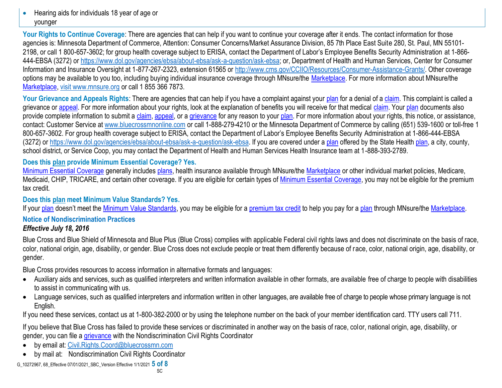• Hearing aids for individuals 18 year of age or younger

Your Rights to Continue Coverage: There are agencies that can help if you want to continue your coverage after it ends. The contact information for those agencies is: Minnesota Department of Commerce, Attention: Consumer Concerns/Market Assurance Division, 85 7th Place East Suite 280, St. Paul, MN 55101- 2198, or call 1 800-657-3602; for group health coverage subject to ERISA, contact the Department of Labor's Employee Benefits Security Administration at 1-866- 444-EBSA (3272) or https://www.dol.gov/agencies/ebsa/about-ebsa/ask-a-question/ask-ebsa; or, Department of Health and Human Services, Center for Consumer Information and Insurance Oversight at 1-877-267-2323, extension 61565 or [http://www.cms.gov/CCIIO/Resources/Consumer-Assistance-Grants/.](http://www.cms.gov/CCIIO/Resources/Consumer-Assistance-Grants/) Other coverage options may be available to you too, including buying individual insurance coverage through MNsure/the [Marketplace.](https://www.healthcare.gov/sbc-glossary/#marketplace) For more information about MNsure/the [Marketplace,](https://www.healthcare.gov/sbc-glossary/#marketplace) visit www.mnsure.org or call 1 855 366 7873.

Your Grievance and Appeals Rights: There are agencies that can help if you have a complaint against your [plan](https://www.healthcare.gov/sbc-glossary/#plan) for a denial of a [claim.](https://www.healthcare.gov/sbc-glossary/#claim) This complaint is called a grievance or [appeal.](https://www.healthcare.gov/sbc-glossary/#appeal) For more information about your rights, look at the explanation of benefits you will receive for that medical [claim.](https://www.healthcare.gov/sbc-glossary/#claim) Your [plan](https://www.healthcare.gov/sbc-glossary/#plan) documents also provide complete information to submit a [claim,](https://www.healthcare.gov/sbc-glossary/#claim) [appeal,](https://www.healthcare.gov/sbc-glossary/#appeal) or a [grievance](https://www.healthcare.gov/sbc-glossary/#grievance) for any reason to your [plan.](https://www.healthcare.gov/sbc-glossary/#plan) For more information about your rights, this notice, or assistance, contact: Customer Service at www.bluecrossmnonline.com or call 1-888-279-4210 or the Minnesota Department of Commerce by calling (651) 539-1600 or toll-free 1 800-657-3602. For group health coverage subject to ERISA, contact the Department of Labor's Employee Benefits Security Administration at 1-866-444-EBSA (3272) or https://www.dol.gov/agencies/ebsa/about-ebsa/ask-a-question/ask-ebsa. If you are covered under a [plan](https://www.healthcare.gov/sbc-glossary/#plan) offered by the State Health [plan,](https://www.healthcare.gov/sbc-glossary/#plan) a city, county, school district, or Service Coop, you may contact the Department of Health and Human Services Health Insurance team at 1-888-393-2789.

# **Does this [plan](https://www.healthcare.gov/sbc-glossary/#plan) provide Minimum Essential Coverage? Yes.**

[Minimum Essential Coverage](https://www.healthcare.gov/sbc-glossary/#minimum-essential-coverage) generally includes [plans,](https://www.healthcare.gov/sbc-glossary/#plan) health insurance available through MNsure/the [Marketplace](https://www.healthcare.gov/sbc-glossary/#marketplace) or other individual market policies, Medicare, Medicaid, CHIP, TRICARE, and certain other coverage. If you are eligible for certain types of [Minimum Essential Coverage,](https://www.healthcare.gov/sbc-glossary/#minimum-essential-coverage) you may not be eligible for the premium tax credit.

### **Does this [plan](https://www.healthcare.gov/sbc-glossary/#plan) meet Minimum Value Standards? Yes.**

If your [plan](https://www.healthcare.gov/sbc-glossary/#plan) doesn't meet the [Minimum Value Standards,](https://www.healthcare.gov/sbc-glossary/#minimum-value-standard) you may be eligible for a [premium tax credit](https://www.healthcare.gov/sbc-glossary/#premium-tax-credits) to help you pay for a plan through MNsure/the [Marketplace.](https://www.healthcare.gov/sbc-glossary/#marketplace)

#### **Notice of Nondiscrimination Practices** *Effective July 18, 2016*

Blue Cross and Blue Shield of Minnesota and Blue Plus (Blue Cross) complies with applicable Federal civil rights laws and does not discriminate on the basis of race, color, national origin, age, disability, or gender. Blue Cross does not exclude people or treat them differently because of race, color, national origin, age, disability, or gender.

Blue Cross provides resources to access information in alternative formats and languages:

- Auxiliary aids and services, such as qualified interpreters and written information available in other formats, are available free of charge to people with disabilities to assist in communicating with us.
- Language services, such as qualified interpreters and information written in other languages, are available free of charge to people whose primary language is not English.

If you need these services, contact us at 1-800-382-2000 or by using the telephone number on the back of your member identification card. TTY users call 711.

If you believe that Blue Cross has failed to provide these services or discriminated in another way on the basis of race, color, national origin, age, disability, or gender, you can file a [grievance](https://www.healthcare.gov/sbc-glossary/#grievance) with the Nondiscrimination Civil Rights Coordinator

- by email at: [Civil.Rights.Coord@bluecrossmn.com](mailto:Civil.Rights.Coord@bluecrossmn.com?subject=Grievance)
- by mail at: Nondiscrimination Civil Rights Coordinator

G\_10272967, 68\_Effective 07/01/2021\_SBC\_Version Effective 1/1/2021 **5 of 8**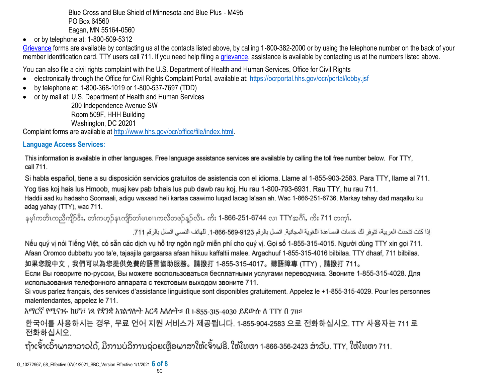Blue Cross and Blue Shield of Minnesota and Blue Plus - M495 PO Box 64560 Eagan, MN 55164-0560

 $\bullet$  or by telephone at: 1-800-509-5312

[Grievance](https://www.healthcare.gov/sbc-glossary/#grievance) forms are available by contacting us at the contacts listed above, by calling 1-800-382-2000 or by using the telephone number on the back of your member identification card. TTY users call 711. If you need help filing a [grievance,](https://www.healthcare.gov/sbc-glossary/#grievance) assistance is available by contacting us at the numbers listed above.

You can also file a civil rights complaint with the U.S. Department of Health and Human Services, Office for Civil Rights

- electronically through the Office for Civil Rights Complaint Portal, available at:<https://ocrportal.hhs.gov/ocr/portal/lobby.jsf>
- by telephone at: 1-800-368-1019 or 1-800-537-7697 (TDD)
- or by mail at: U.S. Department of Health and Human Services

200 Independence Avenue SW Room 509F, HHH Building Washington, DC 20201

Complaint forms are available at [http://www.hhs.gov/ocr/office/file/index.html.](http://www.hhs.gov/ocr/office/file/index.html)

# **Language Access Services:**

This information is available in other languages. Free language assistance services are available by calling the toll free number below. For TTY, call 711.

Si habla español, tiene a su disposición servicios gratuitos de asistencia con el idioma. Llame al 1-855-903-2583. Para TTY, llame al 711.

Yog tias koj hais lus Hmoob, muaj kev pab txhais lus pub dawb rau koj. Hu rau 1-800-793-6931. Rau TTY, hu rau 711. Haddii aad ku hadasho Soomaali, adigu waxaad heli kartaa caawimo lugad lacag la'aan ah. Wac 1-866-251-6736. Markay tahay dad magalku ku adag yahay (TTY), wac 711.

နမ္ဒါကတိၤကညီကျိဉ်ဒီး, တ္)ကဟ္၌နၤကျိဉ်တျမၤစၢၤကလီတဖ္၌နူဉ်လီၤ. ကိုး 1-866-251-6744 လ္၊ TTYအဂို), ကိုး 711 တက္မ္ပါ.

إذا كنت تتحدث العربية، تتوفر لك خدمات المساعدة اللغوية المجانية. اتصل بالرقم 9123-666-666-1. للهاتف النصبي اتصل بالرقم 711.

Nếu quý vị nói Tiếng Việt, có sẵn các dịch vụ hỗ trợ ngôn ngữ miễn phí cho quý vị. Gọi số 1-855-315-4015. Người dùng TTY xin gọi 711. Afaan Oromoo dubbattu yoo ta'e, tajaajila gargaarsa afaan hiikuu kaffaltii malee. Argachuuf 1-855-315-4016 bilbilaa. TTY dhaaf, 711 bilbilaa. 如果您說中文,我們可以為您提供免費的語言協助服務。請撥打 1-855-315-4017。聽語障專 (TTY),請撥打 711。

Если Вы говорите по-русски, Вы можете воспользоваться бесплатными услугами переводчика. Звоните 1-855-315-4028. Для использования телефонного аппарата с текстовым выходом звоните 711.

Si vous parlez français, des services d'assistance linguistique sont disponibles gratuitement. Appelez le +1-855-315-4029. Pour les personnes malentendantes, appelez le 711.

አማርኛ የሚናንሩ ከሆነ፣ ነጻ የቋንቋ አንልግሎት እርዳ አለሎት። በ 1-855-315-4030 ይደውሉ ለ TTY በ 711።

한국어를 사용하시는 경우, 무료 언어 지원 서비스가 제공됩니다. 1-855-904-2583 으로 전화하십시오. TTY 사용자는 711 로 전화하십시오.

ຖ້າເຈົ້າເວົ້າພາສາລາວໄດ້, ມີການບໍລິການຊ່ວຍເຫຼືອພາສາໃຫ້ເຈົ້າຟຣີ. ໃຫ້ໂທຫາ 1-866-356-2423 ສໍາລັບ. TTY, ໃຫ້ໂທຫາ 711.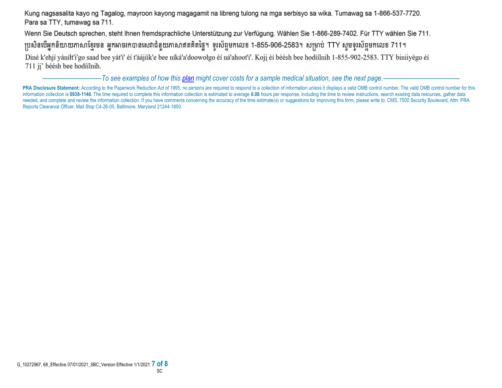Kung nagsasalita kayo ng Tagalog, mayroon kayong magagamit na libreng tulong na mga serbisyo sa wika. Tumawag sa 1-866-537-7720. Para sa TTY, tumawag sa 711.

Wenn Sie Deutsch sprechen, steht Ihnen fremdsprachliche Unterstützung zur Verfügung. Wählen Sie 1-866-289-7402. Für TTY wählen Sie 711.

ប្រសិនបើអ្នកនិយាយភាសាខ្មែរមន អ្នកអាចរកបានសេវាជំនួយភាសាឥតគិតថ្លៃ។ ទូរស័ព្ទមកលេខ 1-855-906-2583។ សម្រាប់ TTY សូមទូរស័ព្ទមកលេខ 711។

Diné k'ehjí yáníłt'i'go saad bee yát'i' éí t'áájíík'e bee níká'a'doowołgo éí ná'ahoot'i'. Koji éí béésh bee hodíílnih 1-855-902-2583. TTY biniiyégo éí 711 jį' béésh bee hodíílnih.

–––––––––––––––––*To see examples of how this plan might cover costs for a sample medical situation, see the next page.–––––––––––*–––––––––––

PRA Disclosure Statement: According to the Paperwork Reduction Act of 1995, no persons are required to respond to a collection of information unless it displays a valid OMB control number. The valid OMB control number for information collection is 0938-1146. The time required to complete this information collection is estimated to average 0.08 hours per response, including the time to review instructions, search existing data resources, gat needed, and complete and review the information collection. If you have comments concerning the accuracy of the time estimate(s) or suggestions for improving this form, please write to: CMS, 7500 Security Boulevard, Attn: Reports Clearance Officer, Mail Stop C4-26-05, Baltimore, Maryland 21244-1850.